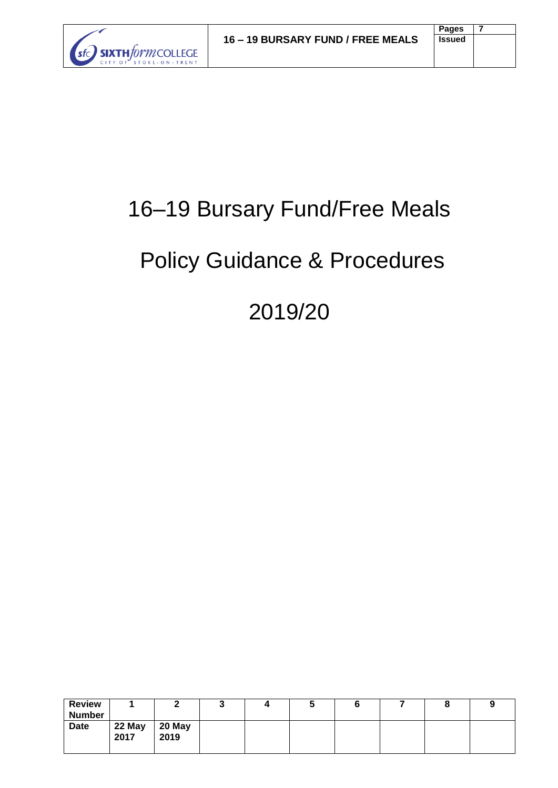

# 16–19 Bursary Fund/Free Meals

# Policy Guidance & Procedures

2019/20

| <b>Review</b><br><b>Number</b> |                |                |  |  |  |  |
|--------------------------------|----------------|----------------|--|--|--|--|
| Date                           | 22 May<br>2017 | 20 May<br>2019 |  |  |  |  |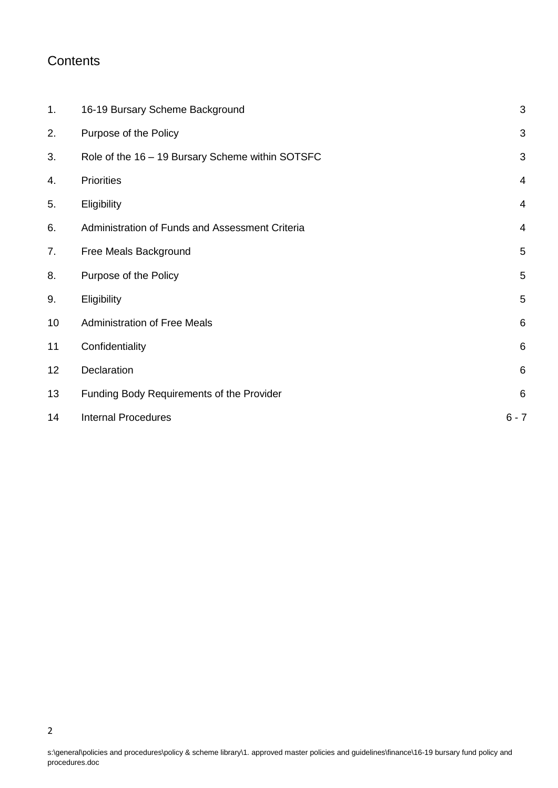# **Contents**

| 1. | 16-19 Bursary Scheme Background                  | $\sqrt{3}$     |
|----|--------------------------------------------------|----------------|
| 2. | Purpose of the Policy                            | $\sqrt{3}$     |
| 3. | Role of the 16 - 19 Bursary Scheme within SOTSFC | $\mathfrak{S}$ |
| 4. | <b>Priorities</b>                                | $\overline{4}$ |
| 5. | Eligibility                                      | $\overline{4}$ |
| 6. | Administration of Funds and Assessment Criteria  | $\overline{4}$ |
| 7. | Free Meals Background                            | 5              |
| 8. | Purpose of the Policy                            | $\overline{5}$ |
| 9. | Eligibility                                      | $\sqrt{5}$     |
| 10 | <b>Administration of Free Meals</b>              | $6\,$          |
| 11 | Confidentiality                                  | 6              |
| 12 | Declaration                                      | 6              |
| 13 | Funding Body Requirements of the Provider        | 6              |
| 14 | <b>Internal Procedures</b>                       | $6 - 7$        |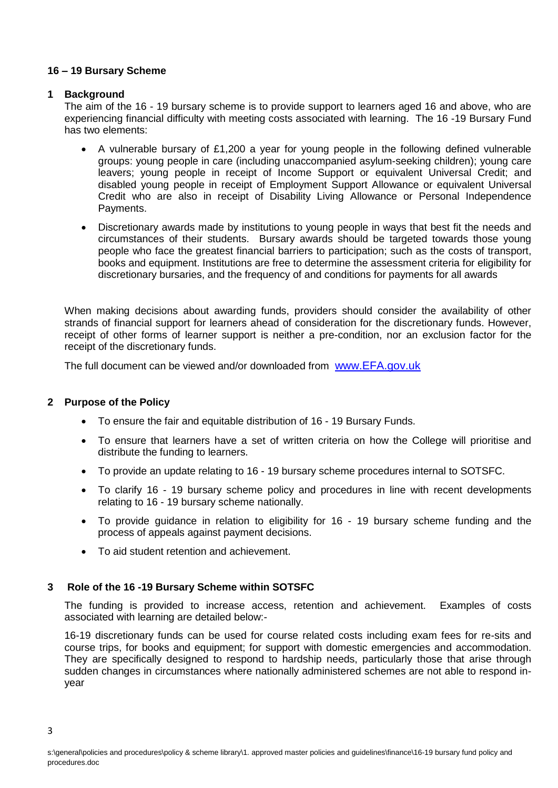# **16 – 19 Bursary Scheme**

#### **1 Background**

The aim of the 16 - 19 bursary scheme is to provide support to learners aged 16 and above, who are experiencing financial difficulty with meeting costs associated with learning. The 16 -19 Bursary Fund has two elements:

- A vulnerable bursary of £1,200 a year for young people in the following defined vulnerable groups: young people in care (including unaccompanied asylum-seeking children); young care leavers; young people in receipt of Income Support or equivalent Universal Credit; and disabled young people in receipt of Employment Support Allowance or equivalent Universal Credit who are also in receipt of Disability Living Allowance or Personal Independence Payments.
- Discretionary awards made by institutions to young people in ways that best fit the needs and circumstances of their students. Bursary awards should be targeted towards those young people who face the greatest financial barriers to participation; such as the costs of transport, books and equipment. Institutions are free to determine the assessment criteria for eligibility for discretionary bursaries, and the frequency of and conditions for payments for all awards

When making decisions about awarding funds, providers should consider the availability of other strands of financial support for learners ahead of consideration for the discretionary funds. However, receipt of other forms of learner support is neither a pre-condition, nor an exclusion factor for the receipt of the discretionary funds.

The full document can be viewed and/or downloaded from [www.EFA.gov.uk](http://www.lsc.gov.uk/)

# **2 Purpose of the Policy**

- To ensure the fair and equitable distribution of 16 19 Bursary Funds.
- To ensure that learners have a set of written criteria on how the College will prioritise and distribute the funding to learners.
- To provide an update relating to 16 19 bursary scheme procedures internal to SOTSFC.
- To clarify 16 19 bursary scheme policy and procedures in line with recent developments relating to 16 - 19 bursary scheme nationally.
- To provide guidance in relation to eligibility for 16 19 bursary scheme funding and the process of appeals against payment decisions.
- To aid student retention and achievement.

# **3 Role of the 16 -19 Bursary Scheme within SOTSFC**

The funding is provided to increase access, retention and achievement. Examples of costs associated with learning are detailed below:-

16-19 discretionary funds can be used for course related costs including exam fees for re-sits and course trips, for books and equipment; for support with domestic emergencies and accommodation. They are specifically designed to respond to hardship needs, particularly those that arise through sudden changes in circumstances where nationally administered schemes are not able to respond inyear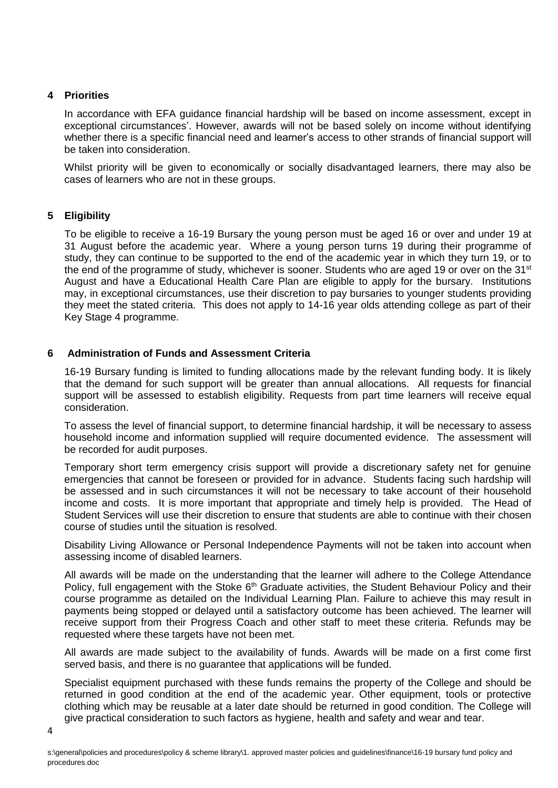# **4 Priorities**

In accordance with EFA guidance financial hardship will be based on income assessment, except in exceptional circumstances'. However, awards will not be based solely on income without identifying whether there is a specific financial need and learner's access to other strands of financial support will be taken into consideration.

Whilst priority will be given to economically or socially disadvantaged learners, there may also be cases of learners who are not in these groups.

# **5 Eligibility**

To be eligible to receive a 16-19 Bursary the young person must be aged 16 or over and under 19 at 31 August before the academic year. Where a young person turns 19 during their programme of study, they can continue to be supported to the end of the academic year in which they turn 19, or to the end of the programme of study, whichever is sooner. Students who are aged 19 or over on the 31<sup>st</sup> August and have a Educational Health Care Plan are eligible to apply for the bursary. Institutions may, in exceptional circumstances, use their discretion to pay bursaries to younger students providing they meet the stated criteria. This does not apply to 14-16 year olds attending college as part of their Key Stage 4 programme.

# **6 Administration of Funds and Assessment Criteria**

16-19 Bursary funding is limited to funding allocations made by the relevant funding body. It is likely that the demand for such support will be greater than annual allocations. All requests for financial support will be assessed to establish eligibility. Requests from part time learners will receive equal consideration.

To assess the level of financial support, to determine financial hardship, it will be necessary to assess household income and information supplied will require documented evidence. The assessment will be recorded for audit purposes.

Temporary short term emergency crisis support will provide a discretionary safety net for genuine emergencies that cannot be foreseen or provided for in advance. Students facing such hardship will be assessed and in such circumstances it will not be necessary to take account of their household income and costs.It is more important that appropriate and timely help is provided.The Head of Student Services will use their discretion to ensure that students are able to continue with their chosen course of studies until the situation is resolved.

Disability Living Allowance or Personal Independence Payments will not be taken into account when assessing income of disabled learners.

All awards will be made on the understanding that the learner will adhere to the College Attendance Policy, full engagement with the Stoke 6<sup>th</sup> Graduate activities, the Student Behaviour Policy and their course programme as detailed on the Individual Learning Plan. Failure to achieve this may result in payments being stopped or delayed until a satisfactory outcome has been achieved. The learner will receive support from their Progress Coach and other staff to meet these criteria. Refunds may be requested where these targets have not been met.

All awards are made subject to the availability of funds. Awards will be made on a first come first served basis, and there is no guarantee that applications will be funded.

Specialist equipment purchased with these funds remains the property of the College and should be returned in good condition at the end of the academic year. Other equipment, tools or protective clothing which may be reusable at a later date should be returned in good condition. The College will give practical consideration to such factors as hygiene, health and safety and wear and tear.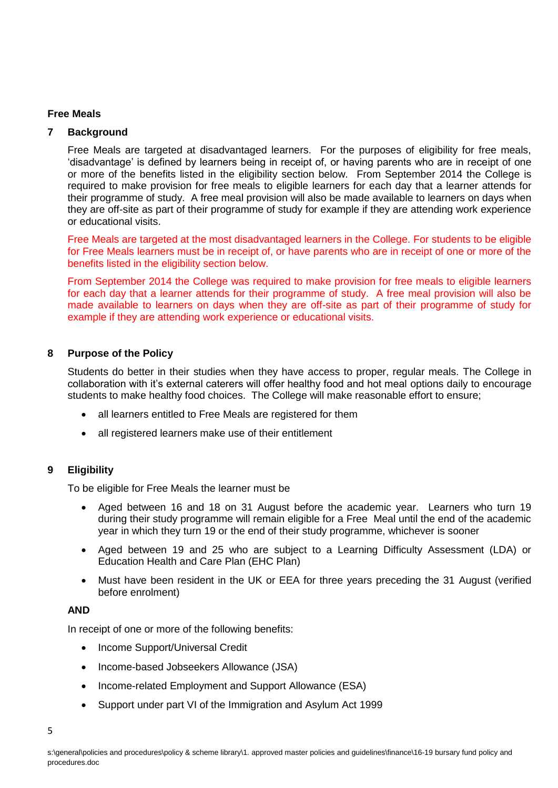# **Free Meals**

#### **7 Background**

Free Meals are targeted at disadvantaged learners. For the purposes of eligibility for free meals, 'disadvantage' is defined by learners being in receipt of, or having parents who are in receipt of one or more of the benefits listed in the eligibility section below. From September 2014 the College is required to make provision for free meals to eligible learners for each day that a learner attends for their programme of study. A free meal provision will also be made available to learners on days when they are off-site as part of their programme of study for example if they are attending work experience or educational visits.

Free Meals are targeted at the most disadvantaged learners in the College. For students to be eligible for Free Meals learners must be in receipt of, or have parents who are in receipt of one or more of the benefits listed in the eligibility section below.

From September 2014 the College was required to make provision for free meals to eligible learners for each day that a learner attends for their programme of study. A free meal provision will also be made available to learners on days when they are off-site as part of their programme of study for example if they are attending work experience or educational visits.

#### **8 Purpose of the Policy**

Students do better in their studies when they have access to proper, regular meals. The College in collaboration with it's external caterers will offer healthy food and hot meal options daily to encourage students to make healthy food choices. The College will make reasonable effort to ensure;

- all learners entitled to Free Meals are registered for them
- all registered learners make use of their entitlement

# **9 Eligibility**

To be eligible for Free Meals the learner must be

- Aged between 16 and 18 on 31 August before the academic year. Learners who turn 19 during their study programme will remain eligible for a Free Meal until the end of the academic year in which they turn 19 or the end of their study programme, whichever is sooner
- Aged between 19 and 25 who are subject to a Learning Difficulty Assessment (LDA) or Education Health and Care Plan (EHC Plan)
- Must have been resident in the UK or EEA for three years preceding the 31 August (verified before enrolment)

# **AND**

In receipt of one or more of the following benefits:

- Income Support/Universal Credit
- Income-based Jobseekers Allowance (JSA)
- Income-related Employment and Support Allowance (ESA)
- Support under part VI of the Immigration and Asylum Act 1999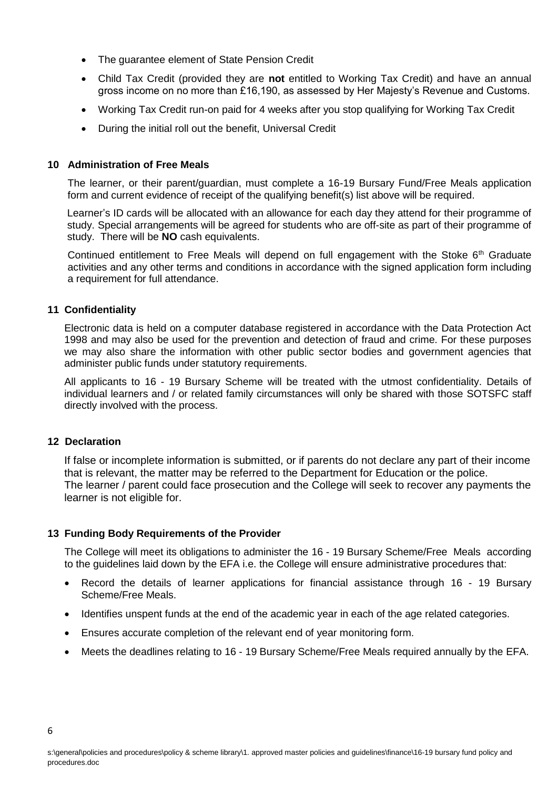- The quarantee element of State Pension Credit
- Child Tax Credit (provided they are **not** entitled to Working Tax Credit) and have an annual gross income on no more than £16,190, as assessed by Her Majesty's Revenue and Customs.
- Working Tax Credit run-on paid for 4 weeks after you stop qualifying for Working Tax Credit
- During the initial roll out the benefit, Universal Credit

# **10 Administration of Free Meals**

The learner, or their parent/guardian, must complete a 16-19 Bursary Fund/Free Meals application form and current evidence of receipt of the qualifying benefit(s) list above will be required.

Learner's ID cards will be allocated with an allowance for each day they attend for their programme of study. Special arrangements will be agreed for students who are off-site as part of their programme of study. There will be **NO** cash equivalents.

Continued entitlement to Free Meals will depend on full engagement with the Stoke 6<sup>th</sup> Graduate activities and any other terms and conditions in accordance with the signed application form including a requirement for full attendance.

# **11 Confidentiality**

Electronic data is held on a computer database registered in accordance with the Data Protection Act 1998 and may also be used for the prevention and detection of fraud and crime. For these purposes we may also share the information with other public sector bodies and government agencies that administer public funds under statutory requirements.

All applicants to 16 - 19 Bursary Scheme will be treated with the utmost confidentiality. Details of individual learners and / or related family circumstances will only be shared with those SOTSFC staff directly involved with the process.

#### **12 Declaration**

If false or incomplete information is submitted, or if parents do not declare any part of their income that is relevant, the matter may be referred to the Department for Education or the police. The learner / parent could face prosecution and the College will seek to recover any payments the learner is not eligible for.

# **13 Funding Body Requirements of the Provider**

The College will meet its obligations to administer the 16 - 19 Bursary Scheme/Free Meals according to the guidelines laid down by the EFA i.e. the College will ensure administrative procedures that:

- Record the details of learner applications for financial assistance through 16 19 Bursary Scheme/Free Meals.
- Identifies unspent funds at the end of the academic year in each of the age related categories.
- Ensures accurate completion of the relevant end of year monitoring form.
- Meets the deadlines relating to 16 19 Bursary Scheme/Free Meals required annually by the EFA.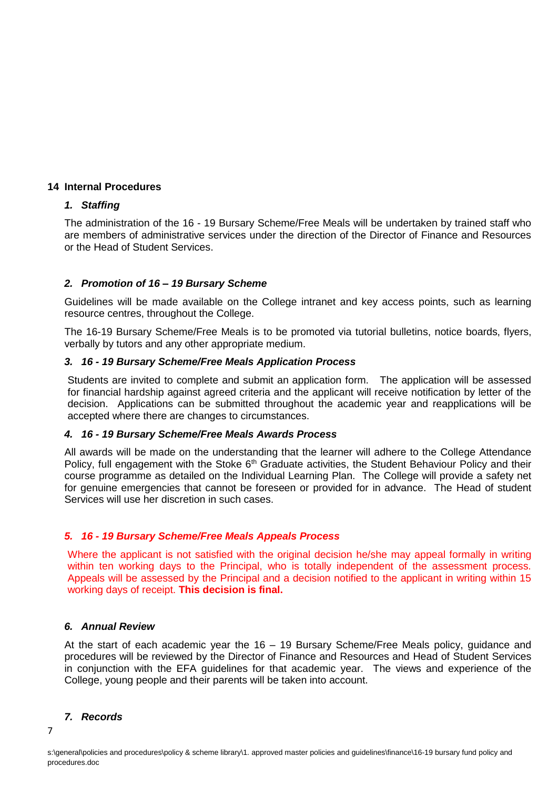#### **14 Internal Procedures**

#### *1. Staffing*

The administration of the 16 - 19 Bursary Scheme/Free Meals will be undertaken by trained staff who are members of administrative services under the direction of the Director of Finance and Resources or the Head of Student Services.

# *2. Promotion of 16 – 19 Bursary Scheme*

Guidelines will be made available on the College intranet and key access points, such as learning resource centres, throughout the College.

The 16-19 Bursary Scheme/Free Meals is to be promoted via tutorial bulletins, notice boards, flyers, verbally by tutors and any other appropriate medium.

#### *3. 16 - 19 Bursary Scheme/Free Meals Application Process*

Students are invited to complete and submit an application form. The application will be assessed for financial hardship against agreed criteria and the applicant will receive notification by letter of the decision. Applications can be submitted throughout the academic year and reapplications will be accepted where there are changes to circumstances.

#### *4. 16 - 19 Bursary Scheme/Free Meals Awards Process*

All awards will be made on the understanding that the learner will adhere to the College Attendance Policy, full engagement with the Stoke 6<sup>th</sup> Graduate activities, the Student Behaviour Policy and their course programme as detailed on the Individual Learning Plan. The College will provide a safety net for genuine emergencies that cannot be foreseen or provided for in advance. The Head of student Services will use her discretion in such cases.

# *5. 16 - 19 Bursary Scheme/Free Meals Appeals Process*

Where the applicant is not satisfied with the original decision he/she may appeal formally in writing within ten working days to the Principal, who is totally independent of the assessment process. Appeals will be assessed by the Principal and a decision notified to the applicant in writing within 15 working days of receipt. **This decision is final.**

#### *6. Annual Review*

At the start of each academic year the 16 – 19 Bursary Scheme/Free Meals policy, guidance and procedures will be reviewed by the Director of Finance and Resources and Head of Student Services in conjunction with the EFA guidelines for that academic year. The views and experience of the College, young people and their parents will be taken into account.

#### *7. Records*